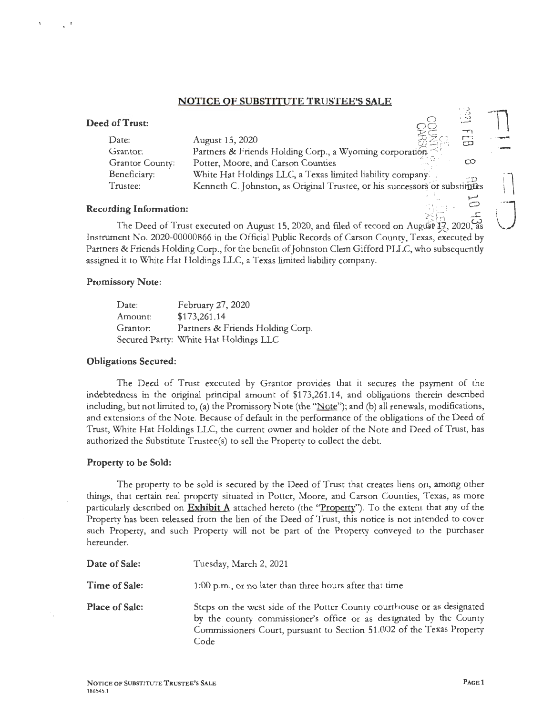## **NOTICE OF SUBSTITUTE TRUSTEE'S SALE**

## **Deed of Trust:**

| of Trust:       |                                                                            | ं र्          |
|-----------------|----------------------------------------------------------------------------|---------------|
| Date:           | August 15, 2020                                                            | $\tau_1$<br>Ġ |
| Grantor:        | Partners & Friends Holding Corp., a Wyoming corporation                    |               |
| Grantor County: | Potter, Moore, and Carson Counties                                         | ထ             |
| Beneficiary:    | White Hat Holdings LLC, a Texas limited liability company                  |               |
| Trustee:        | Kenneth C. Johnston, as Original Trustee, or his successors or substitutes |               |
|                 |                                                                            |               |

### **Recording Information:**

The Deed of Trust executed on August 15, 2020, and filed of record on August 17, 2020, Instrument No. 2020-00000866 in the Official Public Records of Carson County, Texas, executed by Partners & Friends Holding Corp., for the benefit of Johnston Clem Gifford PLLC, who subsequently assigned it to White Hat Holdings LLC, a Texas limited liability company.

#### **Promissory Note:**

| Date:    | February 27, 2020                     |
|----------|---------------------------------------|
| Amount:  | \$173,261.14                          |
| Grantor: | Partners & Friends Holding Corp.      |
|          | Secured Party: White Hat Holdings LLC |

#### **Obligations Secured:**

The Deed of Trust executed by Grantor provides that it secures the payment of the indebtedness in the original principal amount of \$173,261.14, and obligations therein described including, but not limited to, (a) the Promissory Note (the " $Note$ "); and (b) all renewals, modifications, and extensions of the Note. Because of default in the performance of the obligations of the Deed of Trust, White Hat Holdings LLC, the current owner and holder of the Note and Deed of Trust, has authorized the Substitute Trustee(s) to sell the Property to collect the debt.

#### **Property to be Sold:**

The property to be sold is secured by the Deed of Trust that creates liens ori, among other things, that certain real property situated in Potter, Moore, and Carson Counties, Texas, as more particularly described on **Exhibit A** attached hereto (the ''Property"). To the extent that any of the Property has been released from the lien of the Deed of Trust, this notice is not in tended to cover such Property, and such Property will not be part of the Property conveyed *to* the purchaser hereunder.

| Date of Sale:         | Tuesday, March 2, 2021                                                                                                                                                                                                         |
|-----------------------|--------------------------------------------------------------------------------------------------------------------------------------------------------------------------------------------------------------------------------|
| Time of Sale:         | 1:00 p.m., or no later than three hours after that time                                                                                                                                                                        |
| <b>Place of Sale:</b> | Steps on the west side of the Potter County courthouse or as designated<br>by the county commissioner's office or as designated by the County<br>Commissioners Court, pursuant to Section 51.002 of the Texas Property<br>Code |

 $\sim$ .)  $\frac{5}{3}$  $\tilde{\phantom{a}}$ 

 $\sim$   $\mu$   $\mu$  with

 $\begin{bmatrix} 1 & 0 & 0 \\ 0 & 1 & 0 \\ 0 & 0 & 1 \end{bmatrix}$ 

0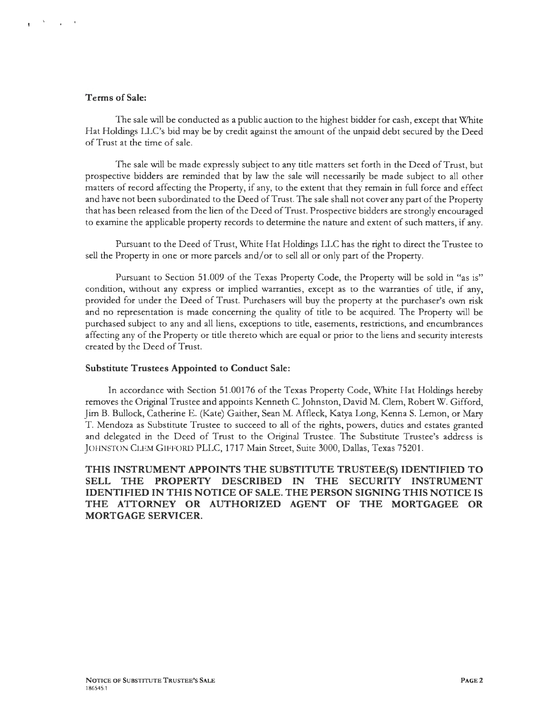## **Terms of Sale:**

The sale will be conducted as a public auction to the highest bidder for cash, except that White Hat Holdings LLC's bid may be by credit against the amount of the unpaid debt secured by the Deed of Trust at the time of sale.

The sale will be made expressly subject to any title matters set forth in the Deed of Trust, but prospective bidders are reminded that by law the sale will necessarily be made subject to all other matters of record affecting the Property, if any, to the extent that they remain in full force and effect and have not been subordinated to the Deed of Trust. The sale shall not cover any part of the Property that has been released from the lien of the Deed of Trust. Prospective bidders are strongly encouraged to examine the applicable property records to determine the nature and extent of such matters, if any.

Pursuant to the Deed of Trust, White Hat Holdings LLC has the right to direct the Trustee to sell the Property in one or more parcels and/or to sell all or only part of the Property.

Pursuant to Section 51.009 of the Texas Property Code, the Property will be sold in "as is" condition, without any express or implied warranties, except as to the warranties of title, if any, provided for under the Deed of Trust. Purchasers will buy the property at the purchaser's own risk and no representation is made concerning the quality of title to be acquired. The Property will be purchased subject to any and all liens, exceptions to title, easements, restrictions, and encumbrances affecting any of the Property or title thereto which are equal or prior to the liens and security interests created by the Deed of Trust.

## **Substitute Trustees Appointed to Conduct Sale:**

In accordance with Section 51.00176 of the Texas Property Code, White Hat Holdings hereby removes the Original Trustee and appoints Kenneth C. Johnston, David M. Clem, Robert W. Gifford, Jim B. Bullock, Catherine E. (Kate) Gaither, Sean M. Affleck, Katya Long, Kenna S. Lemon, or Mary T. Mendoza as Substitute Trustee to succeed to all of the rights, powers, duties and estates granted and delegated in the Deed of Trust to the Original Trustee. The Substitute Trustee's address is JOHNSTON CLEM GIFFORD PLLC, 1717 Main Street, Suite 3000, Dallas, Texas 75201.

**THIS INSTRUMENT APPOINTS THE SUBSTITUTE TRUSTEE(S) IDENTIFIED TO SELL THE PROPERTY DESCRIBED IN THE SECURITY INSTRUMENT IDENTIFIED IN THIS NOTICE OF SALE. THE PERSON SIGNING THIS NOTICE IS THE ATTORNEY OR AUTHORIZED AGENT OF THE MORTGAGEE OR MORTGAGE SERVICER.**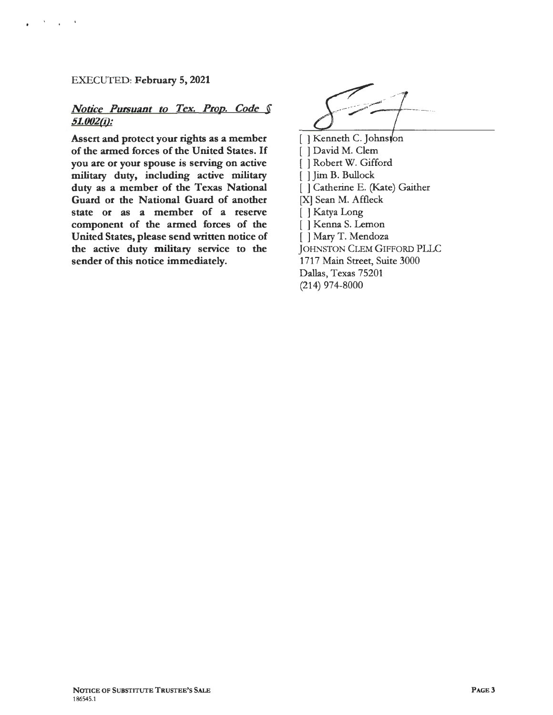## EXECUTED: February 5, 2021

# *Notice Pursuant to Tex. Prop. Code*  $\int$  51.002(i):

Assert and protect your rights as a member of the armed forces of the United States. If you are or your spouse is serving on active military duty, including active military duty as a member of the Texas National Guard or the National Guard of another state or as a member of a reserve component of the armed forces of the United States, please send written notice of the active duty military service to the sender of this notice immediately.

[ ] Kenneth C. Johnston [ ] David M. Clem [ ] Robert W. Gifford [ ] Jim B. Bullock [ ] Catherine E. (Kate) Gaither [X] Sean M. Affleck [ ] Katya Long [ ] Kenna S. Lemon [ ] Mary T. Mendoza JOHNSTON CLEM GIFFORD PLLC 1717 Main Street, Suite 3000 Dallas, Texas 75201 (214) 974-8000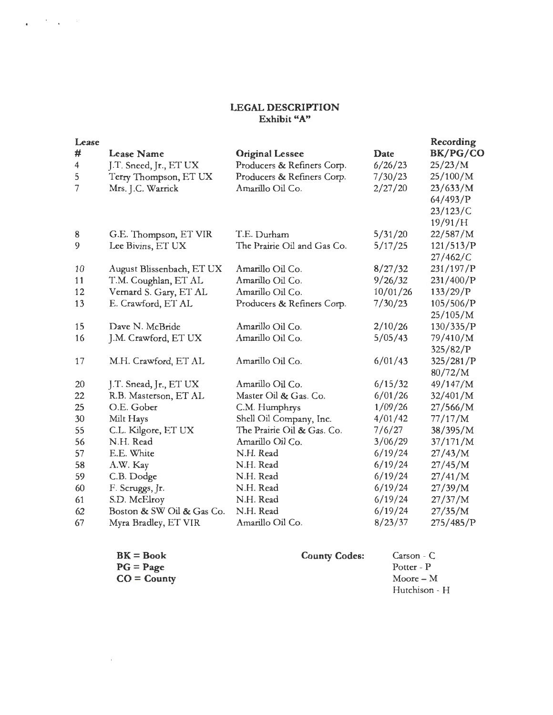## **LEGAL DESCRIPTION Exhibit "A"**

 $\mathbf{q} = \mathbf{q}^T \mathbf{q}$  ,  $\mathbf{q} = \mathbf{q}^T$ 

| Lease          |                           |                             |          | Recording |
|----------------|---------------------------|-----------------------------|----------|-----------|
| #              | <b>Lease Name</b>         | <b>Original Lessee</b>      | Date     | BK/PG/CO  |
| $\overline{4}$ | J.T. Sneed, Jr., ET UX    | Producers & Refiners Corp.  | 6/26/23  | 25/23/M   |
| 5              | Terry Thompson, ET UX     | Producers & Refiners Corp.  | 7/30/23  | 25/100/M  |
| 7              | Mrs. J.C. Warrick         | Amarillo Oil Co.            | 2/27/20  | 23/633/M  |
|                |                           |                             |          | 64/493/P  |
|                |                           |                             |          | 23/123/C  |
|                |                           |                             |          | 19/91/H   |
| 8              | G.E. Thompson, ET VIR     | T.E. Durham                 | 5/31/20  | 22/587/M  |
| 9              | Lee Bivins, ET UX         | The Prairie Oil and Gas Co. | 5/17/25  | 121/513/P |
|                |                           |                             |          | 27/462/C  |
| 10             | August Blissenbach, ET UX | Amarillo Oil Co.            | 8/27/32  | 231/197/P |
| 11             | T.M. Coughlan, ET AL      | Amarillo Oil Co.            | 9/26/32  | 231/400/P |
| 12             | Vernard S. Gary, ET AL    | Amarillo Oil Co.            | 10/01/26 | 133/29/P  |
| 13             | E. Crawford, ET AL        | Producers & Refiners Corp.  | 7/30/23  | 105/506/P |
|                |                           |                             |          | 25/105/M  |
| 15             | Dave N. McBride           | Amarillo Oil Co.            | 2/10/26  | 130/335/P |
| 16             | J.M. Crawford, ET UX      | Amarillo Oil Co.            | 5/05/43  | 79/410/M  |
|                |                           |                             |          | 325/82/P  |
| 17             | M.H. Crawford, ET AL      | Amarillo Oil Co.            | 6/01/43  | 325/281/P |
|                |                           |                             |          | 80/72/M   |
| 20             | J.T. Snead, Jr., ET UX    | Amarillo Oil Co.            | 6/15/32  | 49/147/M  |
| 22             | R.B. Masterson, ET AL     | Master Oil & Gas. Co.       | 6/01/26  | 32/401/M  |
| 25             | O.E. Gober                | C.M. Humphrys               | 1/09/26  | 27/566/M  |
| 30             | Milt Hays                 | Shell Oil Company, Inc.     | 4/01/42  | 77/17/M   |
| 55             | C.L. Kilgore, ET UX       | The Prairie Oil & Gas. Co.  | 7/6/27   | 38/395/M  |
| 56             | N.H. Read                 | Amarillo Oil Co.            | 3/06/29  | 37/171/M  |
| 57             | E.E. White                | N.H. Read                   | 6/19/24  | 27/43/M   |
| 58             | A.W. Kay                  | N.H. Read                   | 6/19/24  | 27/45/M   |
| 59             | C.B. Dodge                | N.H. Read                   | 6/19/24  | 27/41/M   |
| 60             | F. Scruggs, Jr.           | N.H. Read                   | 6/19/24  | 27/39/M   |
| 61             | S.D. McElroy              | N.H. Read                   | 6/19/24  | 27/37/M   |
| 62             | Boston & SW Oil & Gas Co. | N.H. Read                   | 6/19/24  | 27/35/M   |
| 67             | Myra Bradley, ET VIR      | Amarillo Oil Co.            | 8/23/37  | 275/485/P |

| $BK = Book$    | <b>County Codes:</b> | Carson - C    |
|----------------|----------------------|---------------|
| $PG = Page$    |                      | Potter - P    |
| $CO = Country$ |                      | Moore $-$ M   |
|                |                      | Hutchison - H |

 $\mathcal{L}^{\text{max}}_{\text{max}}$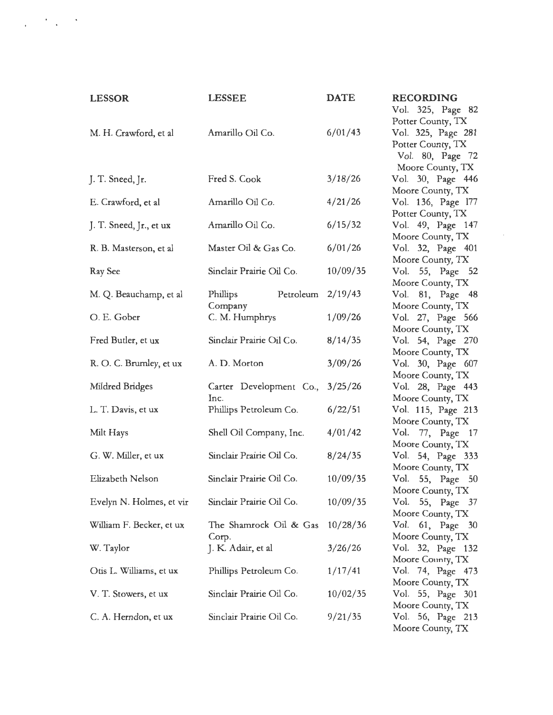| <b>LESSOR</b>            | <b>LESSEE</b>                  | <b>DATE</b> |
|--------------------------|--------------------------------|-------------|
| M. H. Crawford, et al    | Amarillo Oil Co.               | 6/01/43     |
| J. T. Sneed, Jr.         | Fred S. Cook                   | 3/18/26     |
| E. Crawford, et al       | Amarillo Oil Co.               | 4/21/26     |
| J. T. Sneed, Jr., et ux  | Amarillo Oil Co.               | 6/15/32     |
| R. B. Masterson, et al.  | Master Oil & Gas Co.           | 6/01/26     |
| Ray See                  | Sinclair Prairie Oil Co.       | 10/09/35    |
| M. Q. Beauchamp, et al   | Petroleum<br>Phillips          | 2/19/43     |
| O. E. Gober              | Company<br>C. M. Humphrys      | 1/09/26     |
| Fred Butler, et ux       | Sinclair Prairie Oil Co.       | 8/14/35     |
| R. O. C. Brumley, et ux  | A. D. Morton                   | 3/09/26     |
| Mildred Bridges          | Carter Development Co.,        | 3/25/26     |
| L. T. Davis, et ux       | Inc.<br>Phillips Petroleum Co. | 6/22/51     |
| Milt Hays                | Shell Oil Company, Inc.        | 4/01/42     |
| G. W. Miller, et ux      | Sinclair Prairie Oil Co.       | 8/24/35     |
| Elizabeth Nelson         | Sinclair Prairie Oil Co.       | 10/09/35    |
| Evelyn N. Holmes, et vir | Sinclair Prairie Oil Co.       | 10/09/35    |
| William F. Becker, et ux | The Shamrock Oil & Gas         | 10/28/36    |
| W. Taylor                | Corp.<br>J. K. Adair, et al    | 3/26/26     |
| Otis L. Williams, et ux  | Phillips Petroleum Co.         | 1/17/41     |
| V. T. Stowers, et ux     | Sinclair Prairie Oil Co.       | 10/02/35    |
| C. A. Herndon, et ux     | Sinclair Prairie Oil Co.       | 9/21/35     |

**RECORDING**  Vol. 325, Page 82 Potter County, TX Vol. 325, Page 281 Potter County, TX Vol. 80, Page 72 Moore County, TX Vol. 30, Page 446 Moore County, TX Vol. 136, Page 177 Potter County, TX Vol. 49, Page 147 Moore County, TX Vol. 32, Page 401 Moore County, TX Vol. 55, Page 52 Moore County, TX Vol. 81, Page 48 Moore County, TX Vol. 27, Page 566 Moore County, TX Vol. 54, Page 270 Moore County, TX Vol. 30, Page 607 Moore County, TX Vol. 28, Page 443 Moore County, TX Vol. 115, Page 213 Moore County, TX Vol. 77, Page 17 Moore County, TX Vol. 54, Page 333 Moore County, TX Vol. 55, Page 50 Moore County, TX Vol. 55, Page 37 Moore County, TX Vol. 61, Page 30 Moore County, TX Vol. 32, Page 132 Moore County, TX Vol. 74, Page 473 Moore County, TX Vol. 55, Page 301 Moore County, TX Vol. 56, Page 213 Moore County, TX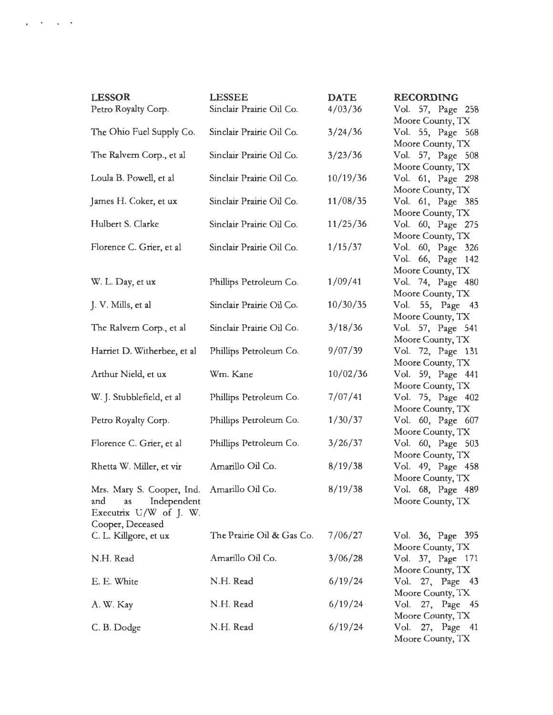| <b>LESSOR</b>                              | <b>LESSEE</b>             | <b>DATE</b> | <b>RECORDING</b>                      |
|--------------------------------------------|---------------------------|-------------|---------------------------------------|
| Petro Royalty Corp.                        | Sinclair Prairie Oil Co.  | 4/03/36     | Vol. 57, Page 258                     |
|                                            |                           |             | Moore County, TX                      |
| The Ohio Fuel Supply Co.                   | Sinclair Prairie Oil Co.  | 3/24/36     | Vol. 55, Page 568                     |
|                                            |                           |             | Moore County, TX                      |
| The Ralvern Corp., et al                   | Sinclair Prairie Oil Co.  | 3/23/36     | Vol. 57, Page 508<br>Moore County, TX |
| Loula B. Powell, et al                     | Sinclair Prairie Oil Co.  | 10/19/36    | Vol. 61, Page 298                     |
|                                            |                           |             | Moore County, TX                      |
| James H. Coker, et ux                      | Sinclair Prairie Oil Co.  | 11/08/35    | Vol. 61, Page 385                     |
|                                            |                           |             | Moore County, TX                      |
| Hulbert S. Clarke                          | Sinclair Prairie Oil Co.  | 11/25/36    | Vol. 60, Page 275                     |
|                                            |                           |             | Moore County, TX                      |
| Florence C. Grier, et al                   | Sinclair Prairie Oil Co.  | 1/15/37     | Vol. 60, Page 326                     |
|                                            |                           |             | Vol. 66, Page 142                     |
|                                            |                           |             | Moore County, TX                      |
| W. L. Day, et ux                           | Phillips Petroleum Co.    | 1/09/41     | Vol. 74, Page 480<br>Moore County, TX |
| J. V. Mills, et al                         | Sinclair Prairie Oil Co.  | 10/30/35    | Vol. 55, Page 43                      |
|                                            |                           |             | Moore County, TX                      |
| The Ralvern Corp., et al                   | Sinclair Prairie Oil Co.  | 3/18/36     | Vol. 57, Page 541                     |
|                                            |                           |             | Moore County, TX                      |
| Harriet D. Witherbee, et al                | Phillips Petroleum Co.    | 9/07/39     | Vol. 72, Page 131                     |
|                                            |                           |             | Moore County, TX                      |
| Arthur Nield, et ux                        | Wm. Kane                  | 10/02/36    | Vol. 59, Page 441                     |
|                                            |                           |             | Moore County, TX                      |
| W. J. Stubblefield, et al                  | Phillips Petroleum Co.    | 7/07/41     | Vol. 75, Page 402                     |
|                                            |                           | 1/30/37     | Moore County, TX<br>Vol. 60, Page 607 |
| Petro Royalty Corp.                        | Phillips Petroleum Co.    |             | Moore County, TX                      |
| Florence C. Grier, et al                   | Phillips Petroleum Co.    | 3/26/37     | Vol. 60, Page 503                     |
|                                            |                           |             | Moore County, TX                      |
| Rhetta W. Miller, et vir                   | Amarillo Oil Co.          | 8/19/38     | Vol. 49, Page 458                     |
|                                            |                           |             | Moore County, TX                      |
| Mrs. Mary S. Cooper, Ind. Amarillo Oil Co. |                           | 8/19/38     | Vol. 68, Page 489                     |
| Independent<br>and<br>as                   |                           |             | Moore County, TX                      |
| Executrix U/W of J. W.                     |                           |             |                                       |
| Cooper, Deceased                           |                           |             |                                       |
| C. L. Killgore, et ux                      | The Prairie Oil & Gas Co. | 7/06/27     | Vol. 36, Page 395<br>Moore County, TX |
| N.H. Read                                  | Amarillo Oil Co.          | 3/06/28     | Vol. 37, Page 171                     |
|                                            |                           |             | Moore County, TX                      |
| E. E. White                                | N.H. Read                 | 6/19/24     | Vol. 27, Page 43                      |
|                                            |                           |             | Moore County, TX                      |
| A. W. Kay                                  | N.H. Read                 | 6/19/24     | Vol. 27, Page 45                      |
|                                            |                           |             | Moore County, TX                      |
| C. B. Dodge                                | N.H. Read                 | 6/19/24     | Vol.<br>27, Page 41                   |

 $\alpha$  ,  $\beta$  ,  $\beta$  ,  $\beta$ 

Moore County, TX